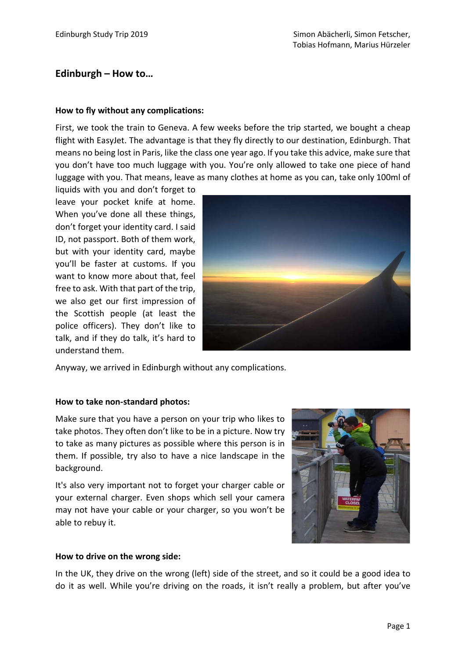# Edinburgh – How to…

## How to fly without any complications:

First, we took the train to Geneva. A few weeks before the trip started, we bought a cheap flight with EasyJet. The advantage is that they fly directly to our destination, Edinburgh. That means no being lost in Paris, like the class one year ago. If you take this advice, make sure that you don't have too much luggage with you. You're only allowed to take one piece of hand luggage with you. That means, leave as many clothes at home as you can, take only 100ml of

liquids with you and don't forget to leave your pocket knife at home. When you've done all these things, don't forget your identity card. I said ID, not passport. Both of them work, but with your identity card, maybe you'll be faster at customs. If you want to know more about that, feel free to ask. With that part of the trip, we also get our first impression of the Scottish people (at least the police officers). They don't like to talk, and if they do talk, it's hard to understand them.



Anyway, we arrived in Edinburgh without any complications.

## How to take non-standard photos:

Make sure that you have a person on your trip who likes to take photos. They often don't like to be in a picture. Now try to take as many pictures as possible where this person is in them. If possible, try also to have a nice landscape in the background.

It's also very important not to forget your charger cable or your external charger. Even shops which sell your camera may not have your cable or your charger, so you won't be able to rebuy it.



## How to drive on the wrong side:

In the UK, they drive on the wrong (left) side of the street, and so it could be a good idea to do it as well. While you're driving on the roads, it isn't really a problem, but after you've